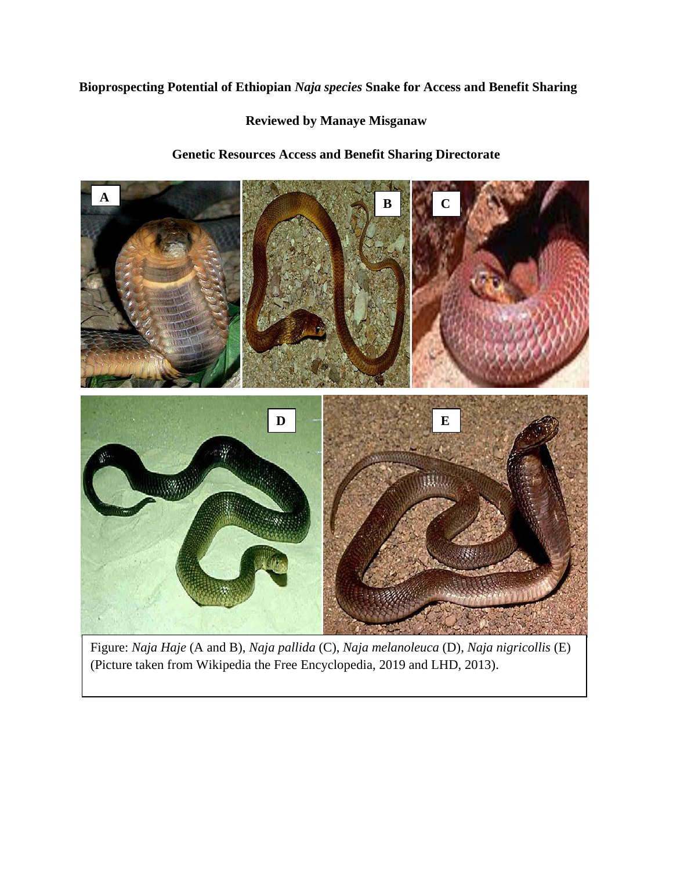## **Bioprospecting Potential of Ethiopian** *Naja species* **Snake for Access and Benefit Sharing**

### **Reviewed by Manaye Misganaw**

# **Genetic Resources Access and Benefit Sharing Directorate**



Figure: *Naja Haje* (A and B), *Naja pallida* (C), *Naja melanoleuca* (D), *Naja nigricollis* (E) (Picture taken from Wikipedia the Free Encyclopedia, 2019 and LHD, 2013).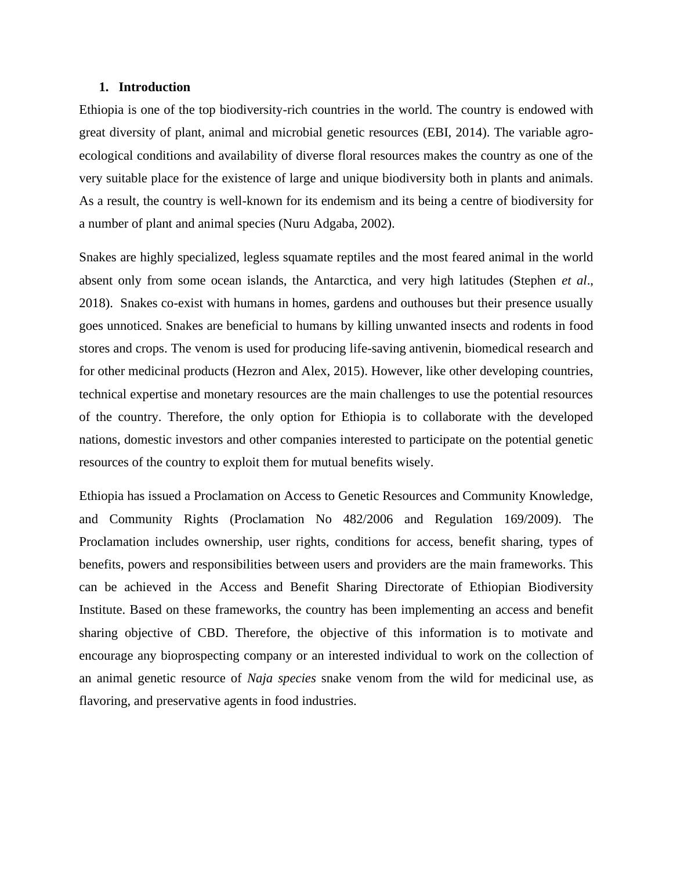### **1. Introduction**

Ethiopia is one of the top biodiversity-rich countries in the world. The country is endowed with great diversity of plant, animal and microbial genetic resources (EBI, 2014). The variable agroecological conditions and availability of diverse floral resources makes the country as one of the very suitable place for the existence of large and unique biodiversity both in plants and animals. As a result, the country is well-known for its endemism and its being a centre of biodiversity for a number of plant and animal species (Nuru Adgaba, 2002).

Snakes are highly specialized, legless squamate reptiles and the most feared animal in the world absent only from some ocean islands, the Antarctica, and very high latitudes (Stephen *et al*., 2018). Snakes co-exist with humans in homes, gardens and outhouses but their presence usually goes unnoticed. Snakes are beneficial to humans by killing unwanted insects and rodents in food stores and crops. The venom is used for producing life-saving antivenin, biomedical research and for other medicinal products (Hezron and Alex, 2015). However, like other developing countries, technical expertise and monetary resources are the main challenges to use the potential resources of the country. Therefore, the only option for Ethiopia is to collaborate with the developed nations, domestic investors and other companies interested to participate on the potential genetic resources of the country to exploit them for mutual benefits wisely.

Ethiopia has issued a Proclamation on Access to Genetic Resources and Community Knowledge, and Community Rights (Proclamation No 482/2006 and Regulation 169/2009). The Proclamation includes ownership, user rights, conditions for access, benefit sharing, types of benefits, powers and responsibilities between users and providers are the main frameworks. This can be achieved in the Access and Benefit Sharing Directorate of Ethiopian Biodiversity Institute. Based on these frameworks, the country has been implementing an access and benefit sharing objective of CBD. Therefore, the objective of this information is to motivate and encourage any bioprospecting company or an interested individual to work on the collection of an animal genetic resource of *Naja species* snake venom from the wild for medicinal use, as flavoring, and preservative agents in food industries.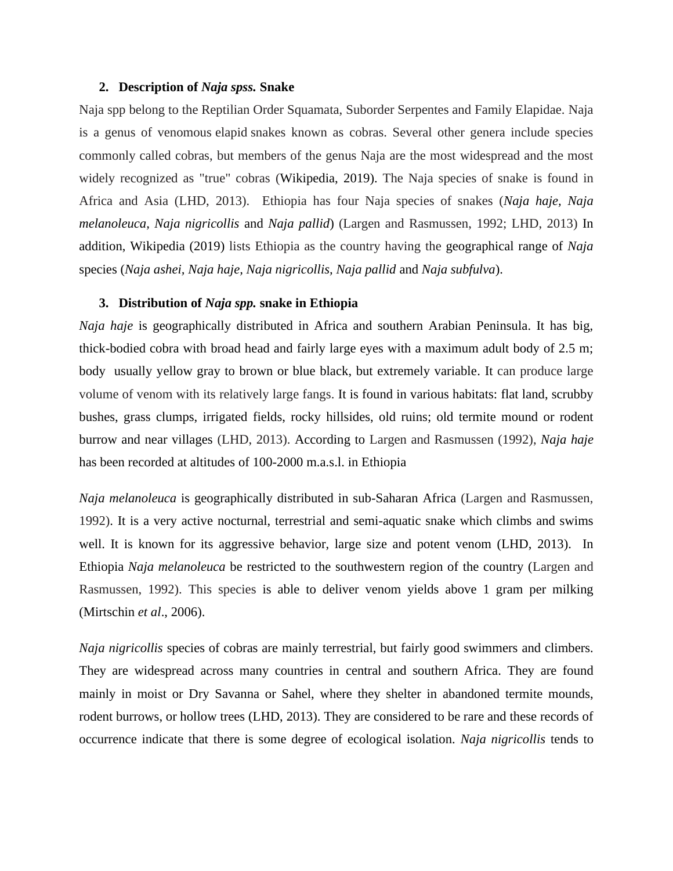#### **2. Description of** *Naja spss.* **Snake**

Naja spp belong to the Reptilian Order Squamata, Suborder Serpentes and Family Elapidae. Naja is a genus of venomous elapid snakes known as cobras. Several other genera include species commonly called cobras, but members of the genus Naja are the most widespread and the most widely recognized as "true" cobras (Wikipedia, 2019). The Naja species of snake is found in Africa and Asia (LHD, 2013). Ethiopia has four Naja species of snakes (*Naja haje, Naja melanoleuca, Naja nigricollis* and *Naja pallid*) (Largen and Rasmussen, 1992; LHD, 2013) In addition, Wikipedia (2019) lists Ethiopia as the country having the geographical range of *Naja* species (*Naja ashei, Naja haje, Naja nigricollis, Naja pallid* and *Naja subfulva*).

#### **3. Distribution of** *Naja spp.* **snake in Ethiopia**

*Naja haje* is geographically distributed in Africa and southern Arabian Peninsula. It has big, thick-bodied cobra with broad head and fairly large eyes with a maximum adult body of 2.5 m; body usually yellow gray to brown or blue black, but extremely variable. It can produce large volume of venom with its relatively large fangs. It is found in various habitats: flat land, scrubby bushes, grass clumps, irrigated fields, rocky hillsides, old ruins; old termite mound or rodent burrow and near villages (LHD, 2013). According to Largen and Rasmussen (1992), *Naja haje* has been recorded at altitudes of 100-2000 m.a.s.l. in Ethiopia

*Naja melanoleuca* is geographically distributed in sub-Saharan Africa (Largen and Rasmussen, 1992). It is a very active nocturnal, terrestrial and semi-aquatic snake which climbs and swims well. It is known for its aggressive behavior, large size and potent venom (LHD, 2013). In Ethiopia *Naja melanoleuca* be restricted to the southwestern region of the country (Largen and Rasmussen, 1992). This species is able to deliver venom yields above 1 gram per milking (Mirtschin *et al*., 2006).

*Naja nigricollis* species of cobras are mainly terrestrial, but fairly good swimmers and climbers. They are widespread across many countries in central and southern Africa. They are found mainly in moist or Dry Savanna or Sahel, where they shelter in abandoned termite mounds, rodent burrows, or hollow trees (LHD, 2013). They are considered to be rare and these records of occurrence indicate that there is some degree of ecological isolation. *Naja nigricollis* tends to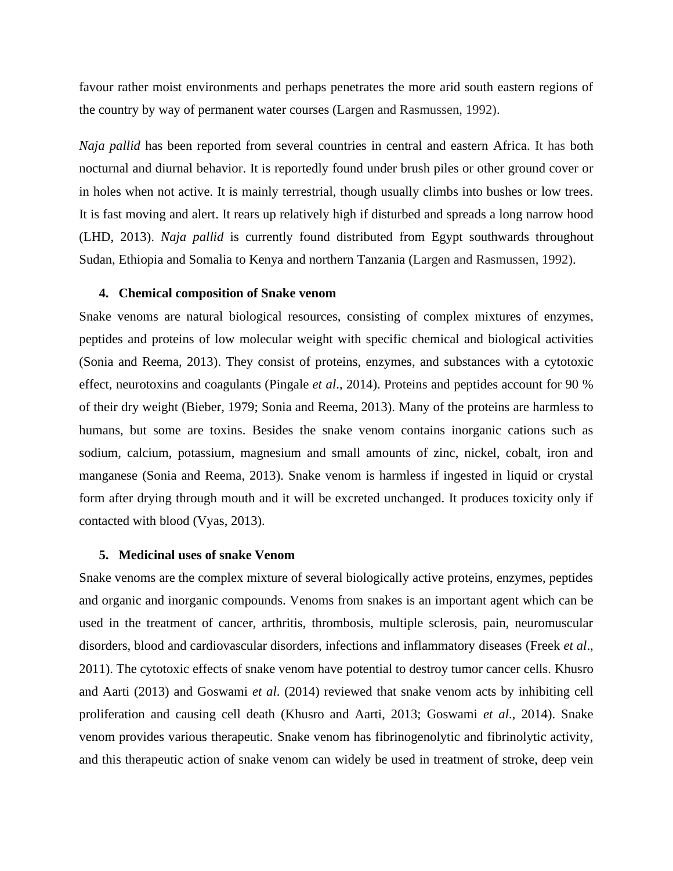favour rather moist environments and perhaps penetrates the more arid south eastern regions of the country by way of permanent water courses (Largen and Rasmussen, 1992).

*Naja pallid* has been reported from several countries in central and eastern Africa. It has both nocturnal and diurnal behavior. It is reportedly found under brush piles or other ground cover or in holes when not active. It is mainly terrestrial, though usually climbs into bushes or low trees. It is fast moving and alert. It rears up relatively high if disturbed and spreads a long narrow hood (LHD, 2013). *Naja pallid* is currently found distributed from Egypt southwards throughout Sudan, Ethiopia and Somalia to Kenya and northern Tanzania (Largen and Rasmussen, 1992).

### **4. Chemical composition of Snake venom**

Snake venoms are natural biological resources, consisting of complex mixtures of enzymes, peptides and proteins of low molecular weight with specific chemical and biological activities (Sonia and Reema, 2013). They consist of proteins, enzymes, and substances with a cytotoxic effect, neurotoxins and coagulants (Pingale *et al*., 2014). Proteins and peptides account for 90 % of their dry weight (Bieber, 1979; Sonia and Reema, 2013). Many of the proteins are harmless to humans, but some are toxins. Besides the snake venom contains inorganic cations such as sodium, calcium, potassium, magnesium and small amounts of zinc, nickel, cobalt, iron and manganese (Sonia and Reema, 2013). Snake venom is harmless if ingested in liquid or crystal form after drying through mouth and it will be excreted unchanged. It produces toxicity only if contacted with blood (Vyas, 2013).

#### **5. Medicinal uses of snake Venom**

Snake venoms are the complex mixture of several biologically active proteins, enzymes, peptides and organic and inorganic compounds. Venoms from snakes is an important agent which can be used in the treatment of cancer, arthritis, thrombosis, multiple sclerosis, pain, neuromuscular disorders, blood and cardiovascular disorders, infections and inflammatory diseases (Freek *et al*., 2011). The cytotoxic effects of snake venom have potential to destroy tumor cancer cells. Khusro and Aarti (2013) and Goswami *et al*. (2014) reviewed that snake venom acts by inhibiting cell proliferation and causing cell death (Khusro and Aarti, 2013; Goswami *et al*., 2014). Snake venom provides various therapeutic. Snake venom has fibrinogenolytic and fibrinolytic activity, and this therapeutic action of snake venom can widely be used in treatment of stroke, deep vein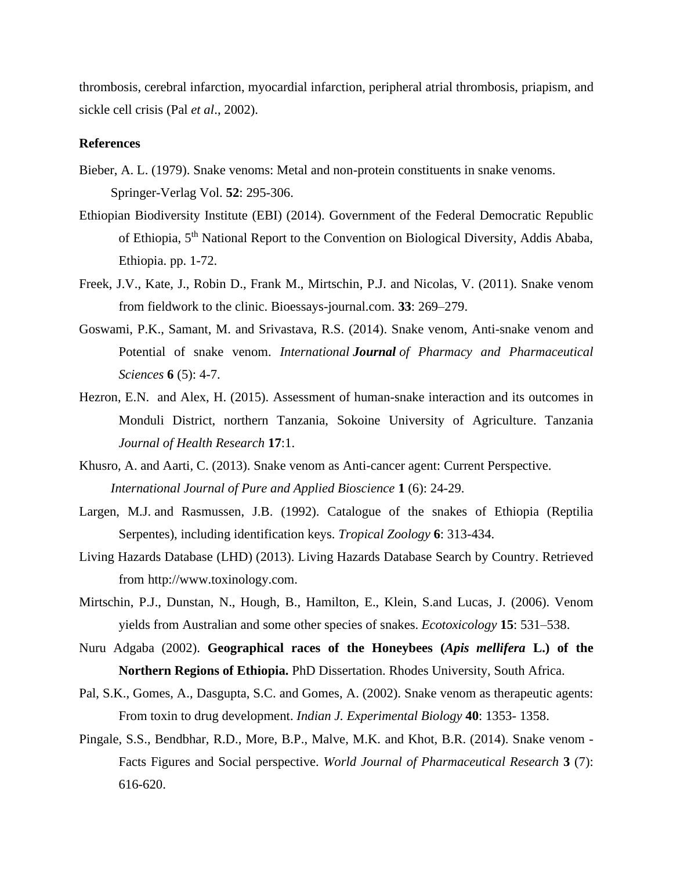thrombosis, cerebral infarction, myocardial infarction, peripheral atrial thrombosis, priapism, and sickle cell crisis (Pal *et al*., 2002).

#### **References**

- Bieber, A. L. (1979). Snake venoms: Metal and non-protein constituents in snake venoms. Springer-Verlag Vol. **52**: 295-306.
- Ethiopian Biodiversity Institute (EBI) (2014). Government of the Federal Democratic Republic of Ethiopia, 5th National Report to the Convention on Biological Diversity, Addis Ababa, Ethiopia. pp. 1-72.
- Freek, J.V., Kate, J., Robin D., Frank M., Mirtschin, P.J. and Nicolas, V. (2011). Snake venom from fieldwork to the clinic. Bioessays-journal.com. **33**: 269–279.
- Goswami, P.K., Samant, M. and Srivastava, R.S. (2014). Snake venom, Anti-snake venom and Potential of snake venom. *International Journal of Pharmacy and Pharmaceutical Sciences* **6** (5): 4-7.
- Hezron, E.N. and Alex, H. (2015). Assessment of human-snake interaction and its outcomes in Monduli District, northern Tanzania, Sokoine University of Agriculture. Tanzania *Journal of Health Research* **17**:1.
- Khusro, A. and Aarti, C. (2013). Snake venom as Anti-cancer agent: Current Perspective. *International Journal of Pure and Applied Bioscience* **1** (6): 24-29.
- [Largen,](https://www.tandfonline.com/author/Largen%2C+M+J) M.J. and [Rasmussen,](https://www.tandfonline.com/author/Rasmussen%2C+J+B) J.B. (1992). Catalogue of the snakes of Ethiopia (Reptilia Serpentes), including identification keys. *Tropical Zoology* **6**: 313-434.
- Living Hazards Database (LHD) (2013). Living Hazards Database Search by Country. Retrieved from http://www.toxinology.com.
- Mirtschin, P.J., Dunstan, N., Hough, B., Hamilton, E., Klein, S.and Lucas, J. (2006). Venom yields from Australian and some other species of snakes. *Ecotoxicology* **15**: 531–538.
- Nuru Adgaba (2002). **Geographical races of the Honeybees (***Apis mellifera* **L.) of the Northern Regions of Ethiopia.** PhD Dissertation. Rhodes University, South Africa.
- Pal, S.K., Gomes, A., Dasgupta, S.C. and Gomes, A. (2002). Snake venom as therapeutic agents: From toxin to drug development. *Indian J. Experimental Biology* **40**: 1353- 1358.
- Pingale, S.S., Bendbhar, R.D., More, B.P., Malve, M.K. and Khot, B.R. (2014). Snake venom Facts Figures and Social perspective. *World Journal of Pharmaceutical Research* **3** (7): 616-620.